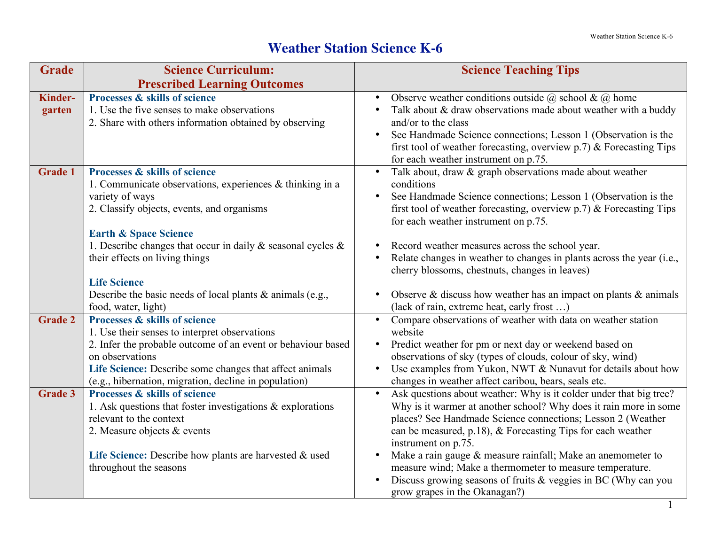## **Weather Station Science K-6**

| <b>Grade</b>   | <b>Science Curriculum:</b>                                                                            | <b>Science Teaching Tips</b>                                                                                                             |
|----------------|-------------------------------------------------------------------------------------------------------|------------------------------------------------------------------------------------------------------------------------------------------|
|                | <b>Prescribed Learning Outcomes</b>                                                                   |                                                                                                                                          |
| <b>Kinder-</b> | Processes & skills of science                                                                         | Observe weather conditions outside $(a)$ school & $(a)$ home                                                                             |
| garten         | 1. Use the five senses to make observations                                                           | Talk about & draw observations made about weather with a buddy                                                                           |
|                | 2. Share with others information obtained by observing                                                | and/or to the class                                                                                                                      |
|                |                                                                                                       | See Handmade Science connections; Lesson 1 (Observation is the<br>first tool of weather forecasting, overview $p.7$ ) & Forecasting Tips |
|                |                                                                                                       | for each weather instrument on p.75.                                                                                                     |
| <b>Grade 1</b> | Processes & skills of science                                                                         | Talk about, draw & graph observations made about weather                                                                                 |
|                | 1. Communicate observations, experiences $\&$ thinking in a                                           | conditions                                                                                                                               |
|                | variety of ways                                                                                       | See Handmade Science connections; Lesson 1 (Observation is the                                                                           |
|                | 2. Classify objects, events, and organisms                                                            | first tool of weather forecasting, overview $p$ . 7) & Forecasting Tips                                                                  |
|                |                                                                                                       | for each weather instrument on p.75.                                                                                                     |
|                | <b>Earth &amp; Space Science</b><br>1. Describe changes that occur in daily $\&$ seasonal cycles $\&$ | Record weather measures across the school year.<br>$\bullet$                                                                             |
|                | their effects on living things                                                                        | Relate changes in weather to changes in plants across the year (i.e.,                                                                    |
|                |                                                                                                       | cherry blossoms, chestnuts, changes in leaves)                                                                                           |
|                | <b>Life Science</b>                                                                                   |                                                                                                                                          |
|                | Describe the basic needs of local plants $\&$ animals (e.g.,                                          | Observe $\&$ discuss how weather has an impact on plants $\&$ animals<br>$\bullet$                                                       |
|                | food, water, light)                                                                                   | (lack of rain, extreme heat, early frost )                                                                                               |
| <b>Grade 2</b> | Processes & skills of science                                                                         | Compare observations of weather with data on weather station                                                                             |
|                | 1. Use their senses to interpret observations                                                         | website                                                                                                                                  |
|                | 2. Infer the probable outcome of an event or behaviour based<br>on observations                       | Predict weather for pm or next day or weekend based on<br>$\bullet$<br>observations of sky (types of clouds, colour of sky, wind)        |
|                | Life Science: Describe some changes that affect animals                                               | Use examples from Yukon, NWT & Nunavut for details about how<br>$\bullet$                                                                |
|                | (e.g., hibernation, migration, decline in population)                                                 | changes in weather affect caribou, bears, seals etc.                                                                                     |
| <b>Grade 3</b> | Processes & skills of science                                                                         | Ask questions about weather: Why is it colder under that big tree?                                                                       |
|                | 1. Ask questions that foster investigations $\&$ explorations                                         | Why is it warmer at another school? Why does it rain more in some                                                                        |
|                | relevant to the context                                                                               | places? See Handmade Science connections; Lesson 2 (Weather                                                                              |
|                | 2. Measure objects & events                                                                           | can be measured, p.18), $&$ Forecasting Tips for each weather<br>instrument on p.75.                                                     |
|                | Life Science: Describe how plants are harvested & used                                                | Make a rain gauge & measure rainfall; Make an anemometer to<br>$\bullet$                                                                 |
|                | throughout the seasons                                                                                | measure wind; Make a thermometer to measure temperature.                                                                                 |
|                |                                                                                                       | Discuss growing seasons of fruits $\&$ veggies in BC (Why can you                                                                        |
|                |                                                                                                       | grow grapes in the Okanagan?)                                                                                                            |